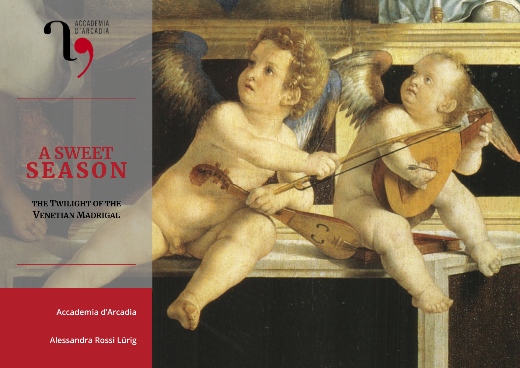

## **A SWEET SEASON**

**THE TWILIGHT OF THE VENETIAN MADRIGAL**

**Accademia d'Arcadia** 

**Alessandra Rossi Lürig**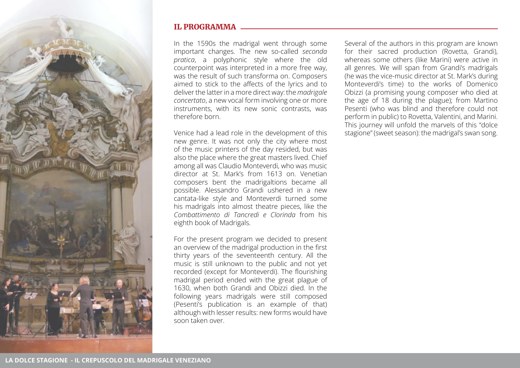

## IL PROGRAMMA

In the 1590s the madrigal went through some important changes. The new so-called *seconda pratica*, a polyphonic style where the old counterpoint was interpreted in a more free way, was the result of such transforma on. Composers aimed to stick to the affects of the lyrics and to deliver the latter in a more direct way: the *madrigale concertato*, a new vocal form involving one or more instruments, with its new sonic contrasts, was therefore born.

Venice had a lead role in the development of this new genre. It was not only the city where most of the music printers of the day resided, but was also the place where the great masters lived. Chief among all was Claudio Monteverdi, who was music director at St. Mark's from 1613 on. Venetian composers bent the madrigaltions became all possible. Alessandro Grandi ushered in a new cantata-like style and Monteverdi turned some his madrigals into almost theatre pieces, like the *Combattimento di Tancredi e Clorinda* from his eighth book of Madrigals.

For the present program we decided to present an overview of the madrigal production in the first thirty years of the seventeenth century. All the music is still unknown to the public and not yet recorded (except for Monteverdi). The flourishing madrigal period ended with the great plague of 1630, when both Grandi and Obizzi died. In the following years madrigals were still composed (Pesenti's publication is an example of that) although with lesser results: new forms would have soon taken over.

Several of the authors in this program are known for their sacred production (Rovetta, Grandi), whereas some others (like Marini) were active in all genres. We will span from Grandi's madrigals (he was the vice-music director at St. Mark's during Monteverdi's time) to the works of Domenico Obizzi (a promising young composer who died at the age of 18 during the plague); from Martino Pesenti (who was blind and therefore could not perform in public) to Rovetta, Valentini, and Marini. This journey will unfold the marvels of this "dolce stagione" (sweet season): the madrigal's swan song.